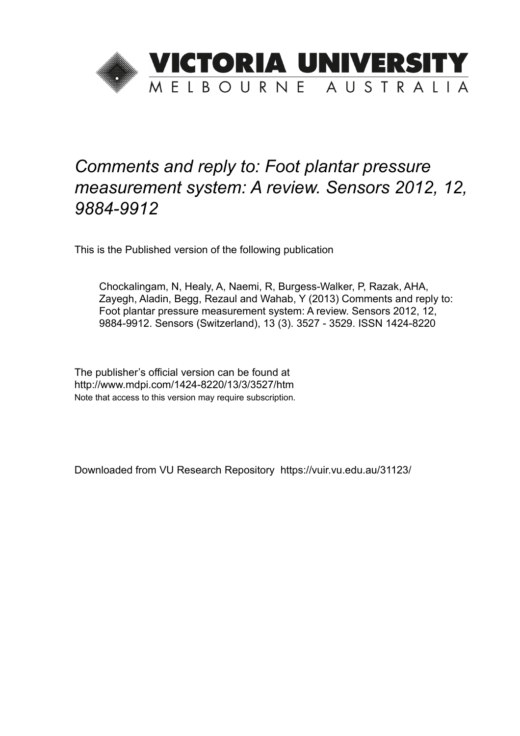

# *Comments and reply to: Foot plantar pressure measurement system: A review. Sensors 2012, 12, 9884-9912*

This is the Published version of the following publication

Chockalingam, N, Healy, A, Naemi, R, Burgess-Walker, P, Razak, AHA, Zayegh, Aladin, Begg, Rezaul and Wahab, Y (2013) Comments and reply to: Foot plantar pressure measurement system: A review. Sensors 2012, 12, 9884-9912. Sensors (Switzerland), 13 (3). 3527 - 3529. ISSN 1424-8220

The publisher's official version can be found at http://www.mdpi.com/1424-8220/13/3/3527/htm Note that access to this version may require subscription.

Downloaded from VU Research Repository https://vuir.vu.edu.au/31123/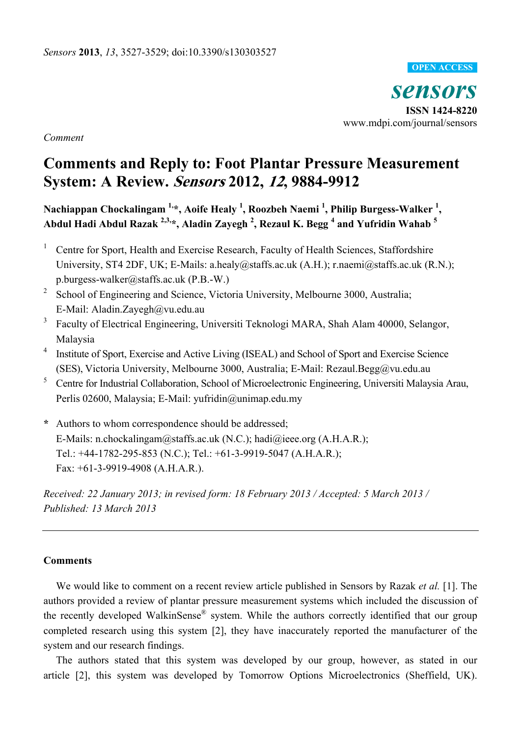#### **OPEN ACCESS**

*sensors*  **ISSN 1424-8220**  www.mdpi.com/journal/sensors

*Comment* 

## **Comments and Reply to: Foot Plantar Pressure Measurement System: A Review. Sensors 2012, 12, 9884-9912**

**Nachiappan Chockalingam 1,\*, Aoife Healy 1 , Roozbeh Naemi 1 , Philip Burgess-Walker <sup>1</sup> , Abdul Hadi Abdul Razak 2,3,\*, Aladin Zayegh 2 , Rezaul K. Begg <sup>4</sup> and Yufridin Wahab <sup>5</sup>**

- 1 Centre for Sport, Health and Exercise Research, Faculty of Health Sciences, Staffordshire University, ST4 2DF, UK; E-Mails: a.healy@staffs.ac.uk (A.H.); r.naemi@staffs.ac.uk (R.N.); p.burgess-walker@staffs.ac.uk (P.B.-W.)
- 2 School of Engineering and Science, Victoria University, Melbourne 3000, Australia; E-Mail: Aladin.Zayegh@vu.edu.au
- 3 Faculty of Electrical Engineering, Universiti Teknologi MARA, Shah Alam 40000, Selangor, Malaysia
- 4 Institute of Sport, Exercise and Active Living (ISEAL) and School of Sport and Exercise Science (SES), Victoria University, Melbourne 3000, Australia; E-Mail: Rezaul.Begg@vu.edu.au
- 5 Centre for Industrial Collaboration, School of Microelectronic Engineering, Universiti Malaysia Arau, Perlis 02600, Malaysia; E-Mail: yufridin@unimap.edu.my
- **\*** Authors to whom correspondence should be addressed; E-Mails: n.chockalingam@staffs.ac.uk (N.C.); hadi@ieee.org (A.H.A.R.); Tel.: +44-1782-295-853 (N.C.); Tel.: +61-3-9919-5047 (A.H.A.R.); Fax: +61-3-9919-4908 (A.H.A.R.).

*Received: 22 January 2013; in revised form: 18 February 2013 / Accepted: 5 March 2013 / Published: 13 March 2013* 

#### **Comments**

We would like to comment on a recent review article published in Sensors by Razak *et al.* [1]. The authors provided a review of plantar pressure measurement systems which included the discussion of the recently developed WalkinSense® system. While the authors correctly identified that our group completed research using this system [2], they have inaccurately reported the manufacturer of the system and our research findings.

The authors stated that this system was developed by our group, however, as stated in our article [2], this system was developed by Tomorrow Options Microelectronics (Sheffield, UK).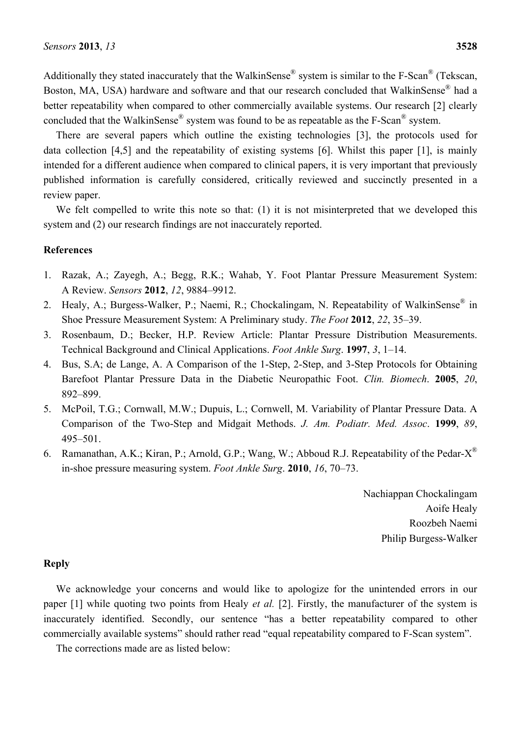Additionally they stated inaccurately that the WalkinSense® system is similar to the F-Scan® (Tekscan, Boston, MA, USA) hardware and software and that our research concluded that WalkinSense<sup>®</sup> had a better repeatability when compared to other commercially available systems. Our research [2] clearly concluded that the WalkinSense<sup>®</sup> system was found to be as repeatable as the F-Scan<sup>®</sup> system.

There are several papers which outline the existing technologies [3], the protocols used for data collection [4,5] and the repeatability of existing systems [6]. Whilst this paper [1], is mainly intended for a different audience when compared to clinical papers, it is very important that previously published information is carefully considered, critically reviewed and succinctly presented in a review paper.

We felt compelled to write this note so that: (1) it is not misinterpreted that we developed this system and (2) our research findings are not inaccurately reported.

#### **References**

- 1. Razak, A.; Zayegh, A.; Begg, R.K.; Wahab, Y. Foot Plantar Pressure Measurement System: A Review. *Sensors* **2012**, *12*, 9884–9912.
- 2. Healy, A.; Burgess-Walker, P.; Naemi, R.; Chockalingam, N. Repeatability of WalkinSense<sup>®</sup> in Shoe Pressure Measurement System: A Preliminary study. *The Foot* **2012**, *22*, 35–39.
- 3. Rosenbaum, D.; Becker, H.P. Review Article: Plantar Pressure Distribution Measurements. Technical Background and Clinical Applications. *Foot Ankle Surg*. **1997**, *3*, 1–14.
- 4. Bus, S.A; de Lange, A. A Comparison of the 1-Step, 2-Step, and 3-Step Protocols for Obtaining Barefoot Plantar Pressure Data in the Diabetic Neuropathic Foot. *Clin. Biomech*. **2005**, *20*, 892–899.
- 5. McPoil, T.G.; Cornwall, M.W.; Dupuis, L.; Cornwell, M. Variability of Plantar Pressure Data. A Comparison of the Two-Step and Midgait Methods. *J. Am. Podiatr. Med. Assoc*. **1999**, *89*, 495–501.
- 6. Ramanathan, A.K.; Kiran, P.; Arnold, G.P.; Wang, W.; Abboud R.J. Repeatability of the Pedar- $X^{\mathbb{R}}$ in-shoe pressure measuring system. *Foot Ankle Surg*. **2010**, *16*, 70–73.

Nachiappan Chockalingam Aoife Healy Roozbeh Naemi Philip Burgess-Walker

#### **Reply**

We acknowledge your concerns and would like to apologize for the unintended errors in our paper [1] while quoting two points from Healy *et al.* [2]. Firstly, the manufacturer of the system is inaccurately identified. Secondly, our sentence "has a better repeatability compared to other commercially available systems" should rather read "equal repeatability compared to F-Scan system".

The corrections made are as listed below: